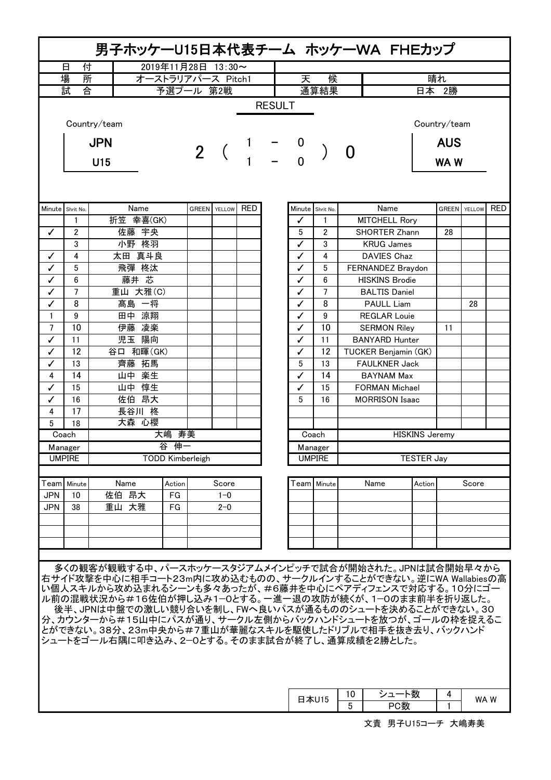| 付<br>2019年11月28日 13:30~<br>日<br>場<br>所<br>晴れ<br>オーストラリアパース Pitch1<br>候<br>天<br>試<br>心<br>予選プール 第2戦<br>通算結果<br>日本 2勝<br><b>RESULT</b><br>Country/team<br><b>AUS</b><br><b>JPN</b><br>2 <sup>1</sup><br>$\mathbf{\Omega}$<br>U15<br>WA W<br>Name<br>GREEN YELLOW RED<br>Name<br>Minute Shrit No.<br>Minute Shrit No.<br><b>GREEN</b> YELLOW<br>折笠 幸喜(GK)<br><b>MITCHELL Rory</b><br>1<br>1<br>✓<br>佐藤 宇央<br>5<br>✓<br>$\overline{2}$<br>$\overline{2}$<br><b>SHORTER Zhann</b><br>28<br>小野 柊羽<br>3<br>3<br>✓<br><b>KRUG James</b><br>太田 真斗良<br>4<br>4<br>DAVIES Chaz<br>✓<br>✓<br>飛彈 柊汰<br>✓<br>5<br>5<br>FERNANDEZ Braydon<br>藤井 芯<br>✓<br>6<br>6<br><b>HISKINS Brodie</b><br>✓<br>$\overline{7}$<br>重山 大雅(C)<br>$\overline{7}$<br>✓<br><b>BALTIS Daniel</b><br>✓<br>$\checkmark$<br>8<br>8<br>髙島 一将<br><b>PAULL Liam</b><br>28<br>✓<br>田中 涼翔<br>$\mathbf{1}$<br>9<br>9<br><b>REGLAR Louie</b><br>✓<br>10<br>伊藤 凌楽<br>$\overline{7}$<br>10<br>✓<br><b>SERMON Riley</b><br>11<br>児玉 陽向<br>✓<br>11<br><b>BANYARD Hunter</b><br>11<br>✓<br>12<br>谷口 和暉(GK)<br>12<br>✓<br>TUCKER Benjamin (GK)<br>✓<br>齊藤 拓馬<br>5<br>✓<br>13<br>13<br><b>FAULKNER Jack</b><br>14<br>山中 楽生<br>14<br>4<br><b>BAYNAM Max</b><br>✓<br>山中 惇生<br>$\checkmark$<br>15<br>✓<br>15<br><b>FORMAN Michael</b><br>佐伯 昂大<br>✓<br>16<br>5<br>16<br><b>MORRISON Isaac</b><br>4<br>17<br>長谷川 柊<br>大森 心櫻<br>5<br>18<br>寿美<br>大嶋<br><b>HISKINS Jeremy</b><br>Coach<br>Coach<br>谷伸一<br>Manager<br>Manager<br><b>TODD Kimberleigh</b><br><b>UMPIRE</b><br><b>UMPIRE</b><br><b>TESTER Jay</b><br>Name<br>Score<br>Team   Minute<br>Name<br>Score<br>Team  <br>Action<br>Action<br>Minute<br>佐伯 昂大<br><b>JPN</b><br>FG<br>10<br>$1 - 0$<br>重山 大雅<br><b>JPN</b><br>38<br>FG<br>$2 - 0$ |              |  |  |  |  |  |  |  |  |  |  |  |  |
|-------------------------------------------------------------------------------------------------------------------------------------------------------------------------------------------------------------------------------------------------------------------------------------------------------------------------------------------------------------------------------------------------------------------------------------------------------------------------------------------------------------------------------------------------------------------------------------------------------------------------------------------------------------------------------------------------------------------------------------------------------------------------------------------------------------------------------------------------------------------------------------------------------------------------------------------------------------------------------------------------------------------------------------------------------------------------------------------------------------------------------------------------------------------------------------------------------------------------------------------------------------------------------------------------------------------------------------------------------------------------------------------------------------------------------------------------------------------------------------------------------------------------------------------------------------------------------------------------------------------------------------------------------------------------------------------------------------------------------------------|--------------|--|--|--|--|--|--|--|--|--|--|--|--|
|                                                                                                                                                                                                                                                                                                                                                                                                                                                                                                                                                                                                                                                                                                                                                                                                                                                                                                                                                                                                                                                                                                                                                                                                                                                                                                                                                                                                                                                                                                                                                                                                                                                                                                                                           |              |  |  |  |  |  |  |  |  |  |  |  |  |
|                                                                                                                                                                                                                                                                                                                                                                                                                                                                                                                                                                                                                                                                                                                                                                                                                                                                                                                                                                                                                                                                                                                                                                                                                                                                                                                                                                                                                                                                                                                                                                                                                                                                                                                                           |              |  |  |  |  |  |  |  |  |  |  |  |  |
|                                                                                                                                                                                                                                                                                                                                                                                                                                                                                                                                                                                                                                                                                                                                                                                                                                                                                                                                                                                                                                                                                                                                                                                                                                                                                                                                                                                                                                                                                                                                                                                                                                                                                                                                           |              |  |  |  |  |  |  |  |  |  |  |  |  |
|                                                                                                                                                                                                                                                                                                                                                                                                                                                                                                                                                                                                                                                                                                                                                                                                                                                                                                                                                                                                                                                                                                                                                                                                                                                                                                                                                                                                                                                                                                                                                                                                                                                                                                                                           | Country/team |  |  |  |  |  |  |  |  |  |  |  |  |
|                                                                                                                                                                                                                                                                                                                                                                                                                                                                                                                                                                                                                                                                                                                                                                                                                                                                                                                                                                                                                                                                                                                                                                                                                                                                                                                                                                                                                                                                                                                                                                                                                                                                                                                                           |              |  |  |  |  |  |  |  |  |  |  |  |  |
|                                                                                                                                                                                                                                                                                                                                                                                                                                                                                                                                                                                                                                                                                                                                                                                                                                                                                                                                                                                                                                                                                                                                                                                                                                                                                                                                                                                                                                                                                                                                                                                                                                                                                                                                           | <b>RED</b>   |  |  |  |  |  |  |  |  |  |  |  |  |
|                                                                                                                                                                                                                                                                                                                                                                                                                                                                                                                                                                                                                                                                                                                                                                                                                                                                                                                                                                                                                                                                                                                                                                                                                                                                                                                                                                                                                                                                                                                                                                                                                                                                                                                                           |              |  |  |  |  |  |  |  |  |  |  |  |  |
|                                                                                                                                                                                                                                                                                                                                                                                                                                                                                                                                                                                                                                                                                                                                                                                                                                                                                                                                                                                                                                                                                                                                                                                                                                                                                                                                                                                                                                                                                                                                                                                                                                                                                                                                           |              |  |  |  |  |  |  |  |  |  |  |  |  |
|                                                                                                                                                                                                                                                                                                                                                                                                                                                                                                                                                                                                                                                                                                                                                                                                                                                                                                                                                                                                                                                                                                                                                                                                                                                                                                                                                                                                                                                                                                                                                                                                                                                                                                                                           |              |  |  |  |  |  |  |  |  |  |  |  |  |
|                                                                                                                                                                                                                                                                                                                                                                                                                                                                                                                                                                                                                                                                                                                                                                                                                                                                                                                                                                                                                                                                                                                                                                                                                                                                                                                                                                                                                                                                                                                                                                                                                                                                                                                                           |              |  |  |  |  |  |  |  |  |  |  |  |  |
|                                                                                                                                                                                                                                                                                                                                                                                                                                                                                                                                                                                                                                                                                                                                                                                                                                                                                                                                                                                                                                                                                                                                                                                                                                                                                                                                                                                                                                                                                                                                                                                                                                                                                                                                           |              |  |  |  |  |  |  |  |  |  |  |  |  |
|                                                                                                                                                                                                                                                                                                                                                                                                                                                                                                                                                                                                                                                                                                                                                                                                                                                                                                                                                                                                                                                                                                                                                                                                                                                                                                                                                                                                                                                                                                                                                                                                                                                                                                                                           |              |  |  |  |  |  |  |  |  |  |  |  |  |
|                                                                                                                                                                                                                                                                                                                                                                                                                                                                                                                                                                                                                                                                                                                                                                                                                                                                                                                                                                                                                                                                                                                                                                                                                                                                                                                                                                                                                                                                                                                                                                                                                                                                                                                                           |              |  |  |  |  |  |  |  |  |  |  |  |  |
|                                                                                                                                                                                                                                                                                                                                                                                                                                                                                                                                                                                                                                                                                                                                                                                                                                                                                                                                                                                                                                                                                                                                                                                                                                                                                                                                                                                                                                                                                                                                                                                                                                                                                                                                           |              |  |  |  |  |  |  |  |  |  |  |  |  |
|                                                                                                                                                                                                                                                                                                                                                                                                                                                                                                                                                                                                                                                                                                                                                                                                                                                                                                                                                                                                                                                                                                                                                                                                                                                                                                                                                                                                                                                                                                                                                                                                                                                                                                                                           |              |  |  |  |  |  |  |  |  |  |  |  |  |
|                                                                                                                                                                                                                                                                                                                                                                                                                                                                                                                                                                                                                                                                                                                                                                                                                                                                                                                                                                                                                                                                                                                                                                                                                                                                                                                                                                                                                                                                                                                                                                                                                                                                                                                                           |              |  |  |  |  |  |  |  |  |  |  |  |  |
|                                                                                                                                                                                                                                                                                                                                                                                                                                                                                                                                                                                                                                                                                                                                                                                                                                                                                                                                                                                                                                                                                                                                                                                                                                                                                                                                                                                                                                                                                                                                                                                                                                                                                                                                           |              |  |  |  |  |  |  |  |  |  |  |  |  |
|                                                                                                                                                                                                                                                                                                                                                                                                                                                                                                                                                                                                                                                                                                                                                                                                                                                                                                                                                                                                                                                                                                                                                                                                                                                                                                                                                                                                                                                                                                                                                                                                                                                                                                                                           |              |  |  |  |  |  |  |  |  |  |  |  |  |
|                                                                                                                                                                                                                                                                                                                                                                                                                                                                                                                                                                                                                                                                                                                                                                                                                                                                                                                                                                                                                                                                                                                                                                                                                                                                                                                                                                                                                                                                                                                                                                                                                                                                                                                                           |              |  |  |  |  |  |  |  |  |  |  |  |  |
|                                                                                                                                                                                                                                                                                                                                                                                                                                                                                                                                                                                                                                                                                                                                                                                                                                                                                                                                                                                                                                                                                                                                                                                                                                                                                                                                                                                                                                                                                                                                                                                                                                                                                                                                           |              |  |  |  |  |  |  |  |  |  |  |  |  |
|                                                                                                                                                                                                                                                                                                                                                                                                                                                                                                                                                                                                                                                                                                                                                                                                                                                                                                                                                                                                                                                                                                                                                                                                                                                                                                                                                                                                                                                                                                                                                                                                                                                                                                                                           |              |  |  |  |  |  |  |  |  |  |  |  |  |
|                                                                                                                                                                                                                                                                                                                                                                                                                                                                                                                                                                                                                                                                                                                                                                                                                                                                                                                                                                                                                                                                                                                                                                                                                                                                                                                                                                                                                                                                                                                                                                                                                                                                                                                                           |              |  |  |  |  |  |  |  |  |  |  |  |  |
|                                                                                                                                                                                                                                                                                                                                                                                                                                                                                                                                                                                                                                                                                                                                                                                                                                                                                                                                                                                                                                                                                                                                                                                                                                                                                                                                                                                                                                                                                                                                                                                                                                                                                                                                           |              |  |  |  |  |  |  |  |  |  |  |  |  |
|                                                                                                                                                                                                                                                                                                                                                                                                                                                                                                                                                                                                                                                                                                                                                                                                                                                                                                                                                                                                                                                                                                                                                                                                                                                                                                                                                                                                                                                                                                                                                                                                                                                                                                                                           |              |  |  |  |  |  |  |  |  |  |  |  |  |
|                                                                                                                                                                                                                                                                                                                                                                                                                                                                                                                                                                                                                                                                                                                                                                                                                                                                                                                                                                                                                                                                                                                                                                                                                                                                                                                                                                                                                                                                                                                                                                                                                                                                                                                                           |              |  |  |  |  |  |  |  |  |  |  |  |  |
|                                                                                                                                                                                                                                                                                                                                                                                                                                                                                                                                                                                                                                                                                                                                                                                                                                                                                                                                                                                                                                                                                                                                                                                                                                                                                                                                                                                                                                                                                                                                                                                                                                                                                                                                           |              |  |  |  |  |  |  |  |  |  |  |  |  |
|                                                                                                                                                                                                                                                                                                                                                                                                                                                                                                                                                                                                                                                                                                                                                                                                                                                                                                                                                                                                                                                                                                                                                                                                                                                                                                                                                                                                                                                                                                                                                                                                                                                                                                                                           |              |  |  |  |  |  |  |  |  |  |  |  |  |
|                                                                                                                                                                                                                                                                                                                                                                                                                                                                                                                                                                                                                                                                                                                                                                                                                                                                                                                                                                                                                                                                                                                                                                                                                                                                                                                                                                                                                                                                                                                                                                                                                                                                                                                                           |              |  |  |  |  |  |  |  |  |  |  |  |  |
|                                                                                                                                                                                                                                                                                                                                                                                                                                                                                                                                                                                                                                                                                                                                                                                                                                                                                                                                                                                                                                                                                                                                                                                                                                                                                                                                                                                                                                                                                                                                                                                                                                                                                                                                           |              |  |  |  |  |  |  |  |  |  |  |  |  |
|                                                                                                                                                                                                                                                                                                                                                                                                                                                                                                                                                                                                                                                                                                                                                                                                                                                                                                                                                                                                                                                                                                                                                                                                                                                                                                                                                                                                                                                                                                                                                                                                                                                                                                                                           |              |  |  |  |  |  |  |  |  |  |  |  |  |
|                                                                                                                                                                                                                                                                                                                                                                                                                                                                                                                                                                                                                                                                                                                                                                                                                                                                                                                                                                                                                                                                                                                                                                                                                                                                                                                                                                                                                                                                                                                                                                                                                                                                                                                                           |              |  |  |  |  |  |  |  |  |  |  |  |  |
|                                                                                                                                                                                                                                                                                                                                                                                                                                                                                                                                                                                                                                                                                                                                                                                                                                                                                                                                                                                                                                                                                                                                                                                                                                                                                                                                                                                                                                                                                                                                                                                                                                                                                                                                           |              |  |  |  |  |  |  |  |  |  |  |  |  |
|                                                                                                                                                                                                                                                                                                                                                                                                                                                                                                                                                                                                                                                                                                                                                                                                                                                                                                                                                                                                                                                                                                                                                                                                                                                                                                                                                                                                                                                                                                                                                                                                                                                                                                                                           |              |  |  |  |  |  |  |  |  |  |  |  |  |
|                                                                                                                                                                                                                                                                                                                                                                                                                                                                                                                                                                                                                                                                                                                                                                                                                                                                                                                                                                                                                                                                                                                                                                                                                                                                                                                                                                                                                                                                                                                                                                                                                                                                                                                                           |              |  |  |  |  |  |  |  |  |  |  |  |  |
| 多くの観客が観戦する中、パースホッケースタジアムメインピッチで試合が開始された。JPNは試合開始早々から<br>右サイド攻撃を中心に相手コート23m内に攻め込むものの、サークルインすることができない。逆にWA Wallabiesの高<br>い個人スキルから攻め込まれるシーンも多々あったが、#6藤井を中心にペアディフェンスで対応する。10分にゴー<br>ル前の混戦状況から#16佐伯が押し込み1-0とする。一進一退の攻防が続くが、1-0のまま前半を折り返した。<br>後半、JPNは中盤での激しい競り合いを制し、FWへ良いパスが通るもののシュートを決めることができない。30<br>分、カウンターから#15山中にパスが通り、サークル左側からバックハンドシュートを放つが、ゴールの枠を捉えるこ<br>とができない。38分、23m中央から#7重山が華麗なスキルを駆使したドリブルで相手を抜き去り、バックハンド<br>シュートをゴール右隅に叩き込み、2―0とする。そのまま試合が終了し、通算成績を2勝とした。                                                                                                                                                                                                                                                                                                                                                                                                                                                                                                                                                                                                                                                                                                                                                                                                                                                                                                                                                                                                                                                                                                                                                                                                                                                                       |              |  |  |  |  |  |  |  |  |  |  |  |  |
| シュート数<br>10<br>4<br>日本U15<br>5<br>PC数<br>文責 男子U15コーチ 大嶋寿美                                                                                                                                                                                                                                                                                                                                                                                                                                                                                                                                                                                                                                                                                                                                                                                                                                                                                                                                                                                                                                                                                                                                                                                                                                                                                                                                                                                                                                                                                                                                                                                                                                                                                 | WA W         |  |  |  |  |  |  |  |  |  |  |  |  |